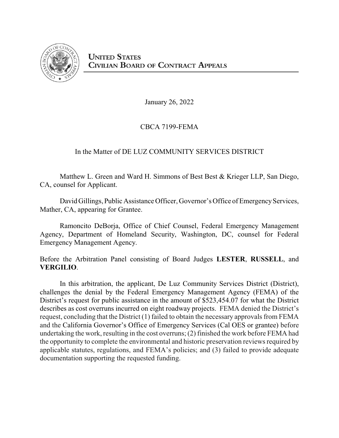

January 26, 2022

## CBCA 7199-FEMA

# In the Matter of DE LUZ COMMUNITY SERVICES DISTRICT

Matthew L. Green and Ward H. Simmons of Best Best & Krieger LLP, San Diego, CA, counsel for Applicant.

David Gillings, Public Assistance Officer, Governor's Office of Emergency Services, Mather, CA, appearing for Grantee.

Ramoncito DeBorja, Office of Chief Counsel, Federal Emergency Management Agency, Department of Homeland Security, Washington, DC, counsel for Federal Emergency Management Agency.

Before the Arbitration Panel consisting of Board Judges **LESTER**, **RUSSELL**, and **VERGILIO**.

In this arbitration, the applicant, De Luz Community Services District (District), challenges the denial by the Federal Emergency Management Agency (FEMA) of the District's request for public assistance in the amount of \$523,454.07 for what the District describes as cost overruns incurred on eight roadway projects. FEMA denied the District's request, concluding that the District (1) failed to obtain the necessary approvals from FEMA and the California Governor's Office of Emergency Services (Cal OES or grantee) before undertaking the work, resulting in the cost overruns; (2) finished the work before FEMA had the opportunity to complete the environmental and historic preservation reviews required by applicable statutes, regulations, and FEMA's policies; and (3) failed to provide adequate documentation supporting the requested funding.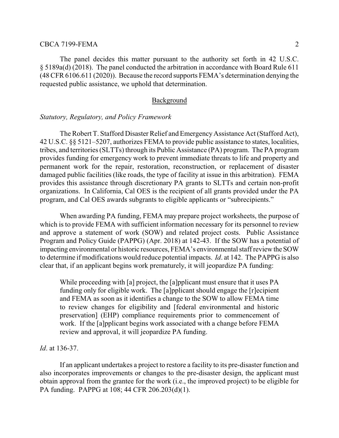The panel decides this matter pursuant to the authority set forth in 42 U.S.C. § 5189a(d) (2018). The panel conducted the arbitration in accordance with Board Rule 611 (48 CFR 6106.611 (2020)). Because the record supports FEMA's determination denying the requested public assistance, we uphold that determination.

#### Background

## *Statutory, Regulatory, and Policy Framework*

The Robert T. Stafford Disaster Relief and Emergency Assistance Act (Stafford Act), 42 U.S.C. §§ 5121–5207, authorizes FEMA to provide public assistance to states, localities, tribes, and territories (SLTTs) through its Public Assistance (PA) program. The PA program provides funding for emergency work to prevent immediate threats to life and property and permanent work for the repair, restoration, reconstruction, or replacement of disaster damaged public facilities (like roads, the type of facility at issue in this arbitration). FEMA provides this assistance through discretionary PA grants to SLTTs and certain non-profit organizations. In California, Cal OES is the recipient of all grants provided under the PA program, and Cal OES awards subgrants to eligible applicants or "subrecipients."

When awarding PA funding, FEMA may prepare project worksheets, the purpose of which is to provide FEMA with sufficient information necessary for its personnel to review and approve a statement of work (SOW) and related project costs. Public Assistance Program and Policy Guide (PAPPG) (Apr. 2018) at 142-43. If the SOW has a potential of impacting environmental or historic resources, FEMA's environmental staffreviewthe SOW to determine if modifications would reduce potential impacts. *Id*. at 142. The PAPPG is also clear that, if an applicant begins work prematurely, it will jeopardize PA funding:

While proceeding with [a] project, the [a]pplicant must ensure that it uses PA funding only for eligible work. The [a]pplicant should engage the [r]ecipient and FEMA as soon as it identifies a change to the SOW to allow FEMA time to review changes for eligibility and [federal environmental and historic preservation] (EHP) compliance requirements prior to commencement of work. If the [a]pplicant begins work associated with a change before FEMA review and approval, it will jeopardize PA funding.

*Id*. at 136-37.

If an applicant undertakes a project to restore a facility to its pre-disaster function and also incorporates improvements or changes to the pre-disaster design, the applicant must obtain approval from the grantee for the work (i.e., the improved project) to be eligible for PA funding. PAPPG at 108; 44 CFR 206.203(d)(1).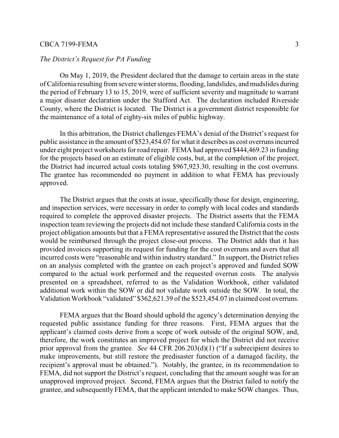## *The District's Request for PA Funding*

On May 1, 2019, the President declared that the damage to certain areas in the state of California resulting fromsevere winter storms, flooding, landslides, and mudslides during the period of February 13 to 15, 2019, were of sufficient severity and magnitude to warrant a major disaster declaration under the Stafford Act. The declaration included Riverside County, where the District is located. The District is a government district responsible for the maintenance of a total of eighty-six miles of public highway.

In this arbitration, the District challenges FEMA's denial of the District's request for public assistance in the amount of \$523,454.07 for what it describes as cost overruns incurred under eight project worksheets for road repair. FEMA had approved \$444,469.23 in funding for the projects based on an estimate of eligible costs, but, at the completion of the project, the District had incurred actual costs totaling \$967,923.30, resulting in the cost overruns. The grantee has recommended no payment in addition to what FEMA has previously approved.

The District argues that the costs at issue, specifically those for design, engineering, and inspection services, were necessary in order to comply with local codes and standards required to complete the approved disaster projects. The District asserts that the FEMA inspection team reviewing the projects did not include these standard California costs in the project obligation amounts but that a FEMA representative assured the District that the costs would be reimbursed through the project close-out process. The District adds that it has provided invoices supporting its request for funding for the cost overruns and avers that all incurred costs were "reasonable and within industry standard." In support, the District relies on an analysis completed with the grantee on each project's approved and funded SOW compared to the actual work performed and the requested overrun costs. The analysis presented on a spreadsheet, referred to as the Validation Workbook, either validated additional work within the SOW or did not validate work outside the SOW. In total, the Validation Workbook "validated" \$362,621.39 of the \$523,454.07 in claimed cost overruns.

FEMA argues that the Board should uphold the agency's determination denying the requested public assistance funding for three reasons. First, FEMA argues that the applicant's claimed costs derive from a scope of work outside of the original SOW, and, therefore, the work constitutes an improved project for which the District did not receive prior approval from the grantee. *See* 44 CFR 206.203(d)(1) ("If a subrecipient desires to make improvements, but still restore the predisaster function of a damaged facility, the recipient's approval must be obtained."). Notably, the grantee, in its recommendation to FEMA, did not support the District's request, concluding that the amount sought was for an unapproved improved project. Second, FEMA argues that the District failed to notify the grantee, and subsequently FEMA, that the applicant intended to make SOW changes. Thus,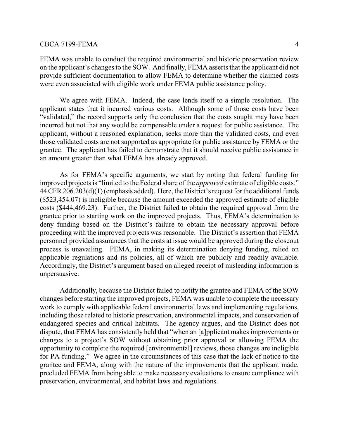FEMA was unable to conduct the required environmental and historic preservation review on the applicant's changes to the SOW. And finally, FEMA asserts that the applicant did not provide sufficient documentation to allow FEMA to determine whether the claimed costs were even associated with eligible work under FEMA public assistance policy.

We agree with FEMA. Indeed, the case lends itself to a simple resolution. The applicant states that it incurred various costs. Although some of those costs have been "validated," the record supports only the conclusion that the costs sought may have been incurred but not that any would be compensable under a request for public assistance. The applicant, without a reasoned explanation, seeks more than the validated costs, and even those validated costs are not supported as appropriate for public assistance by FEMA or the grantee. The applicant has failed to demonstrate that it should receive public assistance in an amount greater than what FEMA has already approved.

As for FEMA's specific arguments, we start by noting that federal funding for improved projects is "limited to the Federal share of the *approved* estimate of eligible costs." 44 CFR 206.203(d)(1) (emphasis added). Here, the District's request for the additional funds (\$523,454.07) is ineligible because the amount exceeded the approved estimate of eligible costs (\$444,469.23). Further, the District failed to obtain the required approval from the grantee prior to starting work on the improved projects. Thus, FEMA's determination to deny funding based on the District's failure to obtain the necessary approval before proceeding with the improved projects was reasonable. The District's assertion that FEMA personnel provided assurances that the costs at issue would be approved during the closeout process is unavailing. FEMA, in making its determination denying funding, relied on applicable regulations and its policies, all of which are publicly and readily available. Accordingly, the District's argument based on alleged receipt of misleading information is unpersuasive.

Additionally, because the District failed to notify the grantee and FEMA of the SOW changes before starting the improved projects, FEMA was unable to complete the necessary work to comply with applicable federal environmental laws and implementing regulations, including those related to historic preservation, environmental impacts, and conservation of endangered species and critical habitats. The agency argues, and the District does not dispute, that FEMA has consistently held that "when an [a]pplicant makes improvements or changes to a project's SOW without obtaining prior approval or allowing FEMA the opportunity to complete the required [environmental] reviews, those changes are ineligible for PA funding." We agree in the circumstances of this case that the lack of notice to the grantee and FEMA, along with the nature of the improvements that the applicant made, precluded FEMA from being able to make necessary evaluations to ensure compliance with preservation, environmental, and habitat laws and regulations.